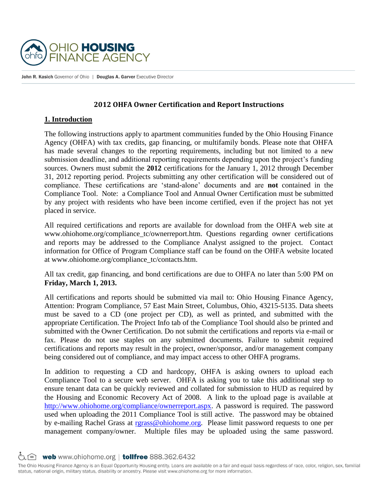

John R. Kasich Governor of Ohio | Douglas A. Garver Executive Director

## **2012 OHFA Owner Certification and Report Instructions**

#### **1. Introduction**

The following instructions apply to apartment communities funded by the Ohio Housing Finance Agency (OHFA) with tax credits, gap financing, or multifamily bonds. Please note that OHFA has made several changes to the reporting requirements, including but not limited to a new submission deadline, and additional reporting requirements depending upon the project's funding sources. Owners must submit the **2012** certifications for the January 1, 2012 through December 31, 2012 reporting period. Projects submitting any other certification will be considered out of compliance. These certifications are 'stand-alone' documents and are **not** contained in the Compliance Tool. Note: a Compliance Tool and Annual Owner Certification must be submitted by any project with residents who have been income certified, even if the project has not yet placed in service.

All required certifications and reports are available for download from the OHFA web site at www.ohiohome.org/compliance\_tc/ownerreport.htm. Questions regarding owner certifications and reports may be addressed to the Compliance Analyst assigned to the project. Contact information for Office of Program Compliance staff can be found on the OHFA website located at www.ohiohome.org/compliance\_tc/contacts.htm.

All tax credit, gap financing, and bond certifications are due to OHFA no later than 5:00 PM on **Friday, March 1, 2013.**

All certifications and reports should be submitted via mail to: Ohio Housing Finance Agency, Attention: Program Compliance, 57 East Main Street, Columbus, Ohio, 43215-5135. Data sheets must be saved to a CD (one project per CD), as well as printed, and submitted with the appropriate Certification. The Project Info tab of the Compliance Tool should also be printed and submitted with the Owner Certification. Do not submit the certifications and reports via e-mail or fax. Please do not use staples on any submitted documents. Failure to submit required certifications and reports may result in the project, owner/sponsor, and/or management company being considered out of compliance, and may impact access to other OHFA programs.

In addition to requesting a CD and hardcopy, OHFA is asking owners to upload each Compliance Tool to a secure web server. OHFA is asking you to take this additional step to ensure tenant data can be quickly reviewed and collated for submission to HUD as required by the Housing and Economic Recovery Act of 2008. A link to the upload page is available at [http://www.ohiohome.org/compliance/ownerreport.aspx.](http://www.ohiohome.org/compliance/ownerreport.aspx) A password is required. The password used when uploading the 2011 Compliance Tool is still active. The password may be obtained by e-mailing Rachel Grass at [rgrass@ohiohome.org.](mailto:rgrass@ohiohome.org) Please limit password requests to one per management company/owner. Multiple files may be uploaded using the same password.

占合 web www.ohiohome.org | tollfree 888.362.6432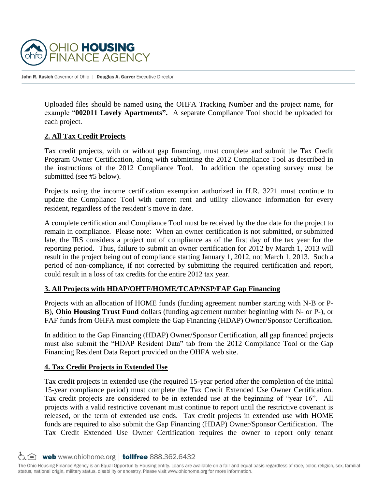

Uploaded files should be named using the OHFA Tracking Number and the project name, for example "**002011 Lovely Apartments".** A separate Compliance Tool should be uploaded for each project.

## **2. All Tax Credit Projects**

Tax credit projects, with or without gap financing, must complete and submit the Tax Credit Program Owner Certification, along with submitting the 2012 Compliance Tool as described in the instructions of the 2012 Compliance Tool. In addition the operating survey must be submitted (see #5 below).

Projects using the income certification exemption authorized in H.R. 3221 must continue to update the Compliance Tool with current rent and utility allowance information for every resident, regardless of the resident's move in date.

A complete certification and Compliance Tool must be received by the due date for the project to remain in compliance. Please note: When an owner certification is not submitted, or submitted late, the IRS considers a project out of compliance as of the first day of the tax year for the reporting period. Thus, failure to submit an owner certification for 2012 by March 1, 2013 will result in the project being out of compliance starting January 1, 2012, not March 1, 2013. Such a period of non-compliance, if not corrected by submitting the required certification and report, could result in a loss of tax credits for the entire 2012 tax year.

# **3. All Projects with HDAP/OHTF/HOME/TCAP/NSP/FAF Gap Financing**

Projects with an allocation of HOME funds (funding agreement number starting with N-B or P-B), **Ohio Housing Trust Fund** dollars (funding agreement number beginning with N- or P-), or FAF funds from OHFA must complete the Gap Financing (HDAP) Owner/Sponsor Certification.

In addition to the Gap Financing (HDAP) Owner/Sponsor Certification, **all** gap financed projects must also submit the "HDAP Resident Data" tab from the 2012 Compliance Tool or the Gap Financing Resident Data Report provided on the OHFA web site.

#### **4. Tax Credit Projects in Extended Use**

Tax credit projects in extended use (the required 15-year period after the completion of the initial 15-year compliance period) must complete the Tax Credit Extended Use Owner Certification. Tax credit projects are considered to be in extended use at the beginning of "year 16". All projects with a valid restrictive covenant must continue to report until the restrictive covenant is released, or the term of extended use ends. Tax credit projects in extended use with HOME funds are required to also submit the Gap Financing (HDAP) Owner/Sponsor Certification. The Tax Credit Extended Use Owner Certification requires the owner to report only tenant

G A web www.ohiohome.org | tollfree 888.362.6432